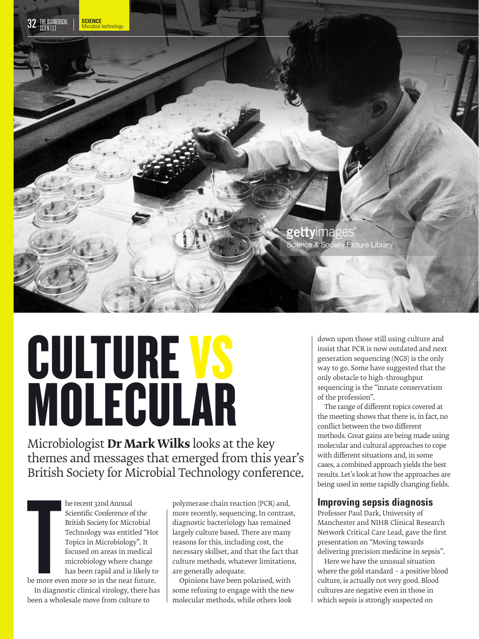

# CULTURE VS MOLECULAR

Microbiologist **Dr Mark Wilks** looks at the key themes and messages that emerged from this year's British Society for Microbial Technology conference.

> he recent 32nd Annual Scientific Conference of the British Society for Microbial Technology was entitled "Hot Topics in Microbiology". It focused on areas in medical microbiology where change has been rapid and is likely to

**TERNA**<br>TERNA<br>TERNA<br>TERNA<br>TERNA be more even more so in the near future. In diagnostic clinical virology, there has been a wholesale move from culture to

polymerase chain reaction (PCR) and, more recently, sequencing. In contrast, diagnostic bacteriology has remained largely culture based. There are many reasons for this, including cost, the necessary skillset, and that the fact that culture methods, whatever limitations, are generally adequate.

Opinions have been polarised, with some refusing to engage with the new molecular methods, while others look

down upon those still using culture and insist that PCR is now outdated and next generation sequencing (NGS) is the only way to go. Some have suggested that the only obstacle to high-throughput sequencing is the "innate conservatism of the profession".

The range of different topics covered at the meeting shows that there is, in fact, no conflict between the two different methods. Great gains are being made using molecular and cultural approaches to cope with different situations and, in some cases, a combined approach yields the best results. Let's look at how the approaches are being used in some rapidly changing fields.

# **Improving sepsis diagnosis**

Professor Paul Dark, University of Manchester and NIHR Clinical Research Network Critical Care Lead, gave the first presentation on "Moving towards delivering precision medicine in sepsis".

Here we have the unusual situation where the gold standard – a positive blood culture, is actually not very good. Blood cultures are negative even in those in which sepsis is strongly suspected on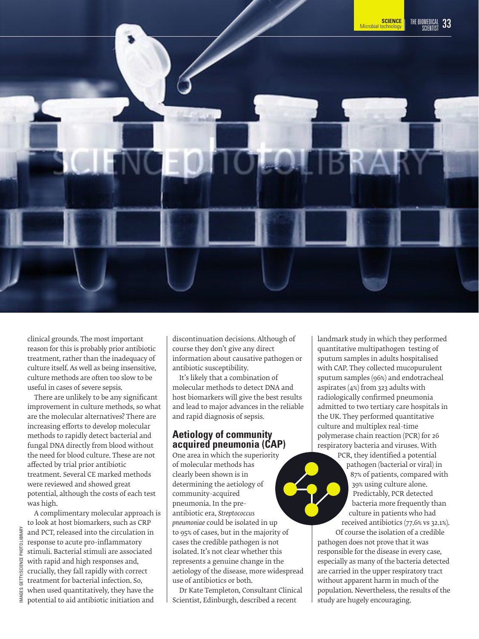

clinical grounds. The most important reason for this is probably prior antibiotic treatment, rather than the inadequacy of culture itself. As well as being insensitive, culture methods are often too slow to be useful in cases of severe sepsis.

There are unlikely to be any significant improvement in culture methods, so what are the molecular alternatives? There are increasing efforts to develop molecular methods to rapidly detect bacterial and fungal DNA directly from blood without the need for blood culture. These are not affected by trial prior antibiotic treatment. Several CE marked methods were reviewed and showed great potential, although the costs of each test was high.

A complimentary molecular approach is to look at host biomarkers, such as CRP and PCT, released into the circulation in response to acute pro-inflammatory stimuli. Bacterial stimuli are associated with rapid and high responses and, crucially, they fall rapidly with correct treatment for bacterial infection. So, when used quantitatively, they have the potential to aid antibiotic initiation and

discontinuation decisions. Although of course they don't give any direct information about causative pathogen or antibiotic susceptibility.

It's likely that a combination of molecular methods to detect DNA and host biomarkers will give the best results and lead to major advances in the reliable and rapid diagnosis of sepsis.

### **Aetiology of community acquired pneumonia (CAP)**

One area in which the superiority of molecular methods has clearly been shown is in determining the aetiology of community-acquired pneumonia. In the preantibiotic era, *Streptococcus pneumoniae* could be isolated in up to 95% of cases, but in the majority of cases the credible pathogen is not isolated. It's not clear whether this represents a genuine change in the aetiology of the disease, more widespread use of antibiotics or both.

Dr Kate Templeton, Consultant Clinical Scientist, Edinburgh, described a recent

landmark study in which they performed quantitative multipathogen testing of sputum samples in adults hospitalised with CAP. They collected mucopurulent sputum samples (96%) and endotracheal aspirates (4%) from 323 adults with radiologically confirmed pneumonia admitted to two tertiary care hospitals in the UK. They performed quantitative culture and multiplex real-time polymerase chain reaction (PCR) for 26 respiratory bacteria and viruses. With

PCR, they identified a potential pathogen (bacterial or viral) in 87% of patients, compared with 39% using culture alone. Predictably, PCR detected bacteria more frequently than culture in patients who had received antibiotics (77.6% vs 32.1%).

Of course the isolation of a credible pathogen does not prove that it was responsible for the disease in every case, especially as many of the bacteria detected are carried in the upper respiratory tract without apparent harm in much of the population. Nevertheless, the results of the study are hugely encouraging.